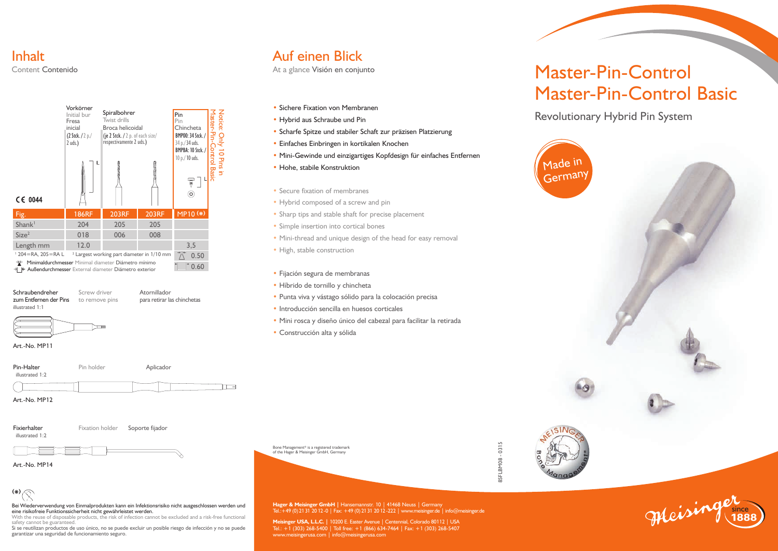#### Inhalt Content Contenido



**Schraubendreher** Screw driver **Atornillador**<br> **Schraubendreher Atornillador**<br> **Reserves Atoris Schraubendreher Atoris Spara retirar language Atoris Atoris** illustrated 1:1

para retirar las chinchetas



Art.-No. MP11



Art.-No. MP12

illustrated 1:2

Fixierhalter Fixation holder Soporte fijador



Art.-No. MP14

### **( \*)**

Bei Wiederverwendung von Einmalprodukten kann ein Infektionsrisiko nicht ausgeschlossen werden und eine risikofreie Funktionssicherheit nicht gewährleistet werden.

With the reuse of disposable products, the risk of infection cannot be excluded and a risk-free functional safety cannot be guaranteed.

Si se reutilizan productos de uso único, no se puede excluir un posible riesgo de infección y no se puede garantizar una seguridad de funcionamiento seguro.

### Auf einen Blick

At a glance Visión en conjunto

- Sichere Fixation von Membranen
- Hybrid aus Schraube und Pin
- Scharfe Spitze und stabiler Schaft zur präzisen Platzierung
- Einfaches Einbringen in kortikalen Knochen
- Mini-Gewinde und einzigartiges Kopfdesign für einfaches Entfernen
- Hohe, stabile Konstruktion
- Secure fixation of membranes
- Hybrid composed of a screw and pin
- Sharp tips and stable shaft for precise placement
- Simple insertion into cortical bones
- Mini-thread and unique design of the head for easy removal
- High, stable construction
- Fijación segura de membranas
- Híbrido de tornillo y chincheta
- Punta viva y vástago sólido para la colocación precisa
- Introducción sencilla en huesos corticales
- Mini rosca y diseño único del cabezal para facilitar la retirada

**Meisinger USA, L.L.C. |** 10200 E. Easter Avenue | Centennial, Colorado 80112 | USA<br>Tel.: +1 (303) 268-5400 | Toll free: +1 (866) 634-7464 | Fax: +1 (303) 268-5407

www.meisingerusa.com | info@meisingerusa.com

• Construcción alta y sólida

Bone Management® is a registered trademark of the Hager & Meisinger GmbH, Germany



since **Hager & Meisinger GmbH |** Hansemannstr. 10 | 41468 Neuss | Germany Tel.:+49 (0) 2131 2012 -0 | Fax: +49 (0) 2131 2012 -222 | www.meisinger.de | info@meisinger.de



# Master-Pin-Control Master-Pin-Control Basic

Revolutionary Hybrid Pin System



**1888**